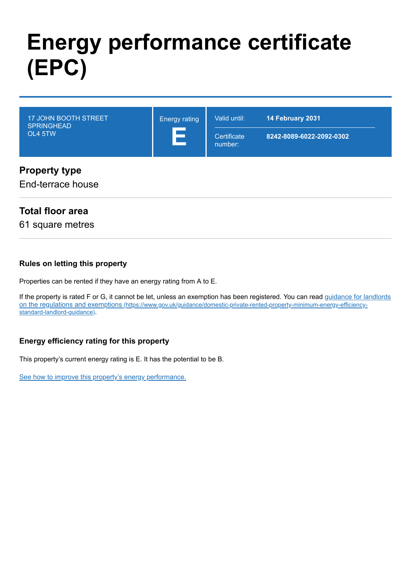# **Energy performance certificate (EPC)**

| <b>17 JOHN BOOTH STREET</b><br><b>SPRINGHEAD</b><br>OL4 5TW | <b>Energy rating</b> | Valid until:<br>Certificate<br>number: | 14 February 2031<br>8242-8089-6022-2092-0302 |
|-------------------------------------------------------------|----------------------|----------------------------------------|----------------------------------------------|
| <b>Dunian Andre de Janeiro</b>                              |                      |                                        |                                              |

### **Property type**

End-terrace house

### **Total floor area**

61 square metres

#### **Rules on letting this property**

Properties can be rented if they have an energy rating from A to E.

[If the property is rated F or G, it cannot be let, unless an exemption has been registered. You can read guidance for landlords](https://www.gov.uk/guidance/domestic-private-rented-property-minimum-energy-efficiency-standard-landlord-guidance) on the regulations and exemptions (https://www.gov.uk/guidance/domestic-private-rented-property-minimum-energy-efficiencystandard-landlord-guidance).

### **Energy efficiency rating for this property**

This property's current energy rating is E. It has the potential to be B.

[See how to improve this property's energy performance.](#page-3-0)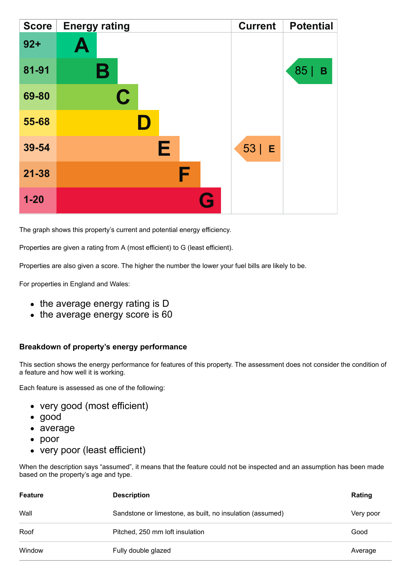| <b>Score</b> | <b>Energy rating</b> | <b>Current</b> | <b>Potential</b> |
|--------------|----------------------|----------------|------------------|
| $92 +$       | $\blacktriangle$     |                |                  |
| 81-91        | В                    |                | 85<br>B          |
| 69-80        | $\mathbf C$          |                |                  |
| 55-68        |                      |                |                  |
| 39-54        | Е                    | $53$   E       |                  |
| $21 - 38$    | F                    |                |                  |
| $1 - 20$     | Q                    |                |                  |

The graph shows this property's current and potential energy efficiency.

Properties are given a rating from A (most efficient) to G (least efficient).

Properties are also given a score. The higher the number the lower your fuel bills are likely to be.

For properties in England and Wales:

- the average energy rating is D
- the average energy score is 60

#### **Breakdown of property's energy performance**

This section shows the energy performance for features of this property. The assessment does not consider the condition of a feature and how well it is working.

Each feature is assessed as one of the following:

- very good (most efficient)
- good
- average
- poor
- very poor (least efficient)

When the description says "assumed", it means that the feature could not be inspected and an assumption has been made based on the property's age and type.

| <b>Feature</b> | <b>Description</b>                                        | Rating    |
|----------------|-----------------------------------------------------------|-----------|
| Wall           | Sandstone or limestone, as built, no insulation (assumed) | Very poor |
| Roof           | Pitched, 250 mm loft insulation                           | Good      |
| Window         | Fully double glazed                                       | Average   |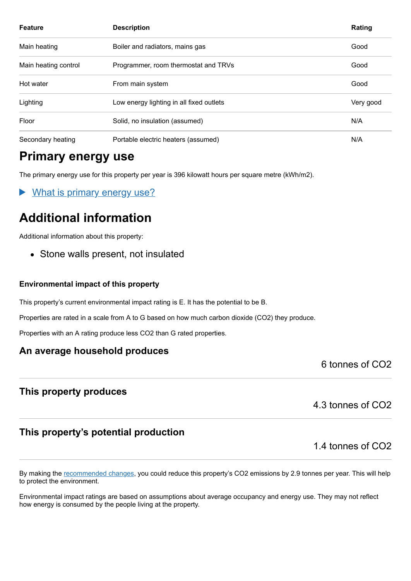| <b>Feature</b>       | <b>Description</b>                       | Rating    |
|----------------------|------------------------------------------|-----------|
| Main heating         | Boiler and radiators, mains gas          | Good      |
| Main heating control | Programmer, room thermostat and TRVs     | Good      |
| Hot water            | From main system                         | Good      |
| Lighting             | Low energy lighting in all fixed outlets | Very good |
| Floor                | Solid, no insulation (assumed)           | N/A       |
| Secondary heating    | Portable electric heaters (assumed)      | N/A       |

# **Primary energy use**

The primary energy use for this property per year is 396 kilowatt hours per square metre (kWh/m2).

What is primary energy use?

# **Additional information**

Additional information about this property:

• Stone walls present, not insulated

#### **Environmental impact of this property**

This property's current environmental impact rating is E. It has the potential to be B.

Properties are rated in a scale from A to G based on how much carbon dioxide (CO2) they produce.

Properties with an A rating produce less CO2 than G rated properties.

### **An average household produces**

6 tonnes of CO2

### **This property produces**

4.3 tonnes of CO2

### **This property's potential production**

1.4 tonnes of CO2

By making the [recommended changes,](#page-3-0) you could reduce this property's CO2 emissions by 2.9 tonnes per year. This will help to protect the environment.

Environmental impact ratings are based on assumptions about average occupancy and energy use. They may not reflect how energy is consumed by the people living at the property.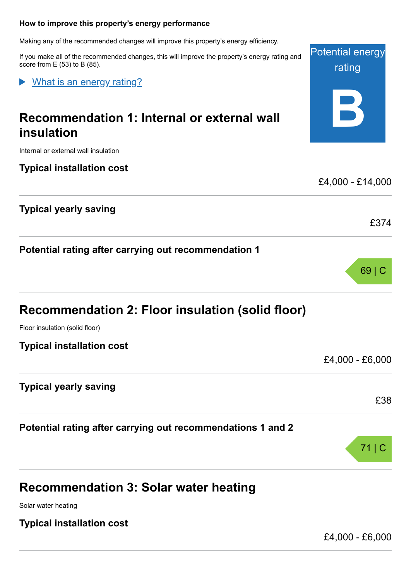#### <span id="page-3-0"></span>**How to improve this property's energy performance**

Making any of the recommended changes will improve this property's energy efficiency.

If you make all of the recommended changes, this will improve the property's energy rating and score from  $E(53)$  to B (85).

What is an energy rating?

# **Recommendation 1: Internal or external wall insulation**

Internal or external wall insulation

**Typical installation cost**

**Typical yearly saving**

**Potential rating after carrying out recommendation 1**

| <b>Recommendation 2: Floor insulation (solid floor)</b> |  |  |  |  |
|---------------------------------------------------------|--|--|--|--|
|---------------------------------------------------------|--|--|--|--|

Floor insulation (solid floor)

**Typical installation cost**

**Typical yearly saving**

**Potential rating after carrying out recommendations 1 and 2**

# **Recommendation 3: Solar water heating**

Solar water heating

**Typical installation cost**

£4,000 - £6,000

**B** £4,000 - £14,000 £374 69 | C

£4,000 - £6,000

£38





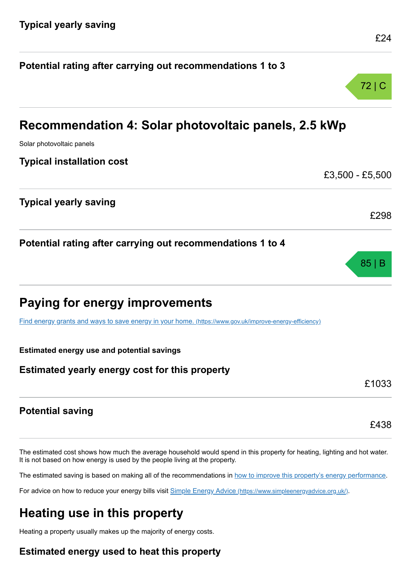| Recommendation 4: Solar photovoltaic panels, 2.5 kWp                                                    |                 |
|---------------------------------------------------------------------------------------------------------|-----------------|
| Solar photovoltaic panels                                                                               |                 |
| <b>Typical installation cost</b>                                                                        |                 |
|                                                                                                         | £3,500 - £5,500 |
| <b>Typical yearly saving</b>                                                                            |                 |
|                                                                                                         | £298            |
| Potential rating after carrying out recommendations 1 to 4                                              |                 |
|                                                                                                         | 85 B            |
| <b>Paying for energy improvements</b>                                                                   |                 |
| Find energy grants and ways to save energy in your home. (https://www.gov.uk/improve-energy-efficiency) |                 |
| <b>Estimated energy use and potential savings</b>                                                       |                 |
| Estimated yearly energy cost for this property                                                          |                 |
|                                                                                                         | £1033           |
| <b>Potential saving</b>                                                                                 |                 |

**Potential rating after carrying out recommendations 1 to 3**

The estimated cost shows how much the average household would spend in this property for heating, lighting and hot water. It is not based on how energy is used by the people living at the property.

The estimated saving is based on making all of the recommendations in [how to improve this property's energy performance.](#page-3-0)

For advice on how to reduce your energy bills visit Simple Energy Advice [\(https://www.simpleenergyadvice.org.uk/\)](https://www.simpleenergyadvice.org.uk/).

# **Heating use in this property**

Heating a property usually makes up the majority of energy costs.

### **Estimated energy used to heat this property**

£24

72 | C

£438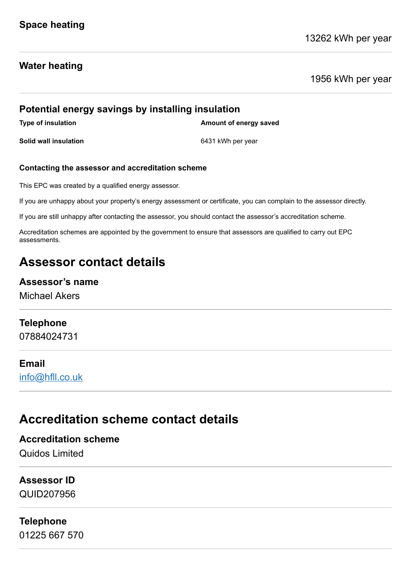### **Water heating**

1956 kWh per year

# **Potential energy savings by installing insulation Type of insulation Amount of energy saved Solid wall insulation** 6431 kWh per year

#### **Contacting the assessor and accreditation scheme**

This EPC was created by a qualified energy assessor.

If you are unhappy about your property's energy assessment or certificate, you can complain to the assessor directly.

If you are still unhappy after contacting the assessor, you should contact the assessor's accreditation scheme.

Accreditation schemes are appointed by the government to ensure that assessors are qualified to carry out EPC assessments.

# **Assessor contact details**

#### **Assessor's name**

Michael Akers

### **Telephone**

07884024731

#### **Email**

[info@hfll.co.uk](mailto:info@hfll.co.uk)

# **Accreditation scheme contact details**

**Accreditation scheme** Quidos Limited

# **Assessor ID**

QUID207956

### **Telephone**

01225 667 570